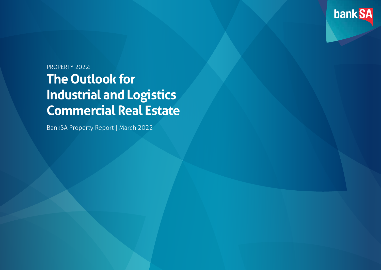

# **The Outlook for Industrial and Logistics Commercial Real Estate** PROPERTY 2022:

BankSA Property Report | March 2022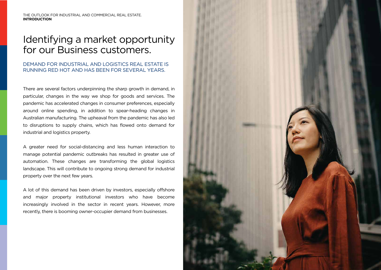THE OUTLOOK FOR INDUSTRIAL AND COMMERCIAL REAL ESTATE. **INTRODUCTION**

## Identifying a market opportunity for our Business customers.

#### DEMAND FOR INDUSTRIAL AND LOGISTICS REAL ESTATE IS RUNNING RED HOT AND HAS BEEN FOR SEVERAL YEARS.

There are several factors underpinning the sharp growth in demand, in particular, changes in the way we shop for goods and services. The pandemic has accelerated changes in consumer preferences, especially around online spending, in addition to spear-heading changes in Australian manufacturing. The upheaval from the pandemic has also led to disruptions to supply chains, which has flowed onto demand for industrial and logistics property.

A greater need for social-distancing and less human interaction to manage potential pandemic outbreaks has resulted in greater use of automation. These changes are transforming the global logistics landscape. This will contribute to ongoing strong demand for industrial property over the next few years.

A lot of this demand has been driven by investors, especially offshore and major property institutional investors who have become increasingly involved in the sector in recent years. However, more recently, there is booming owner-occupier demand from businesses.

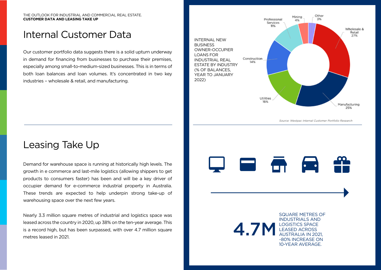#### THE OUTLOOK FOR INDUSTRIAL AND COMMERCIAL REAL ESTATE. **CUSTOMER DATA AND LEASING TAKE UP**

## Internal Customer Data

Our customer portfolio data suggests there is a solid upturn underway in demand for financing from businesses to purchase their premises, especially among small-to-medium-sized businesses. This is in terms of both loan balances and loan volumes. It's concentrated in two key industries – wholesale & retail, and manufacturing.



Source: Westpac Internal Customer Portfolio Research

#### Leasing Take Up

Demand for warehouse space is running at historically high levels. The growth in e commerce and last-mile logistics (allowing shippers to get products to consumers faster) has been and will be a key driver of occupier demand for e-commerce industrial property in Australia. These trends are expected to help underpin strong take-up of warehousing space over the next few years.

Nearly 3.3 million square metres of industrial and logistics space was leased across the country in 2020, up 38% on the ten-year average. This is a record high, but has been surpassed, with over 4.7 million square metres leased in 2021.



4.7M SQUARE METRES OF INDUSTRIALS AND LOGISTICS SPACE LEASED ACROSS AUSTRALIA IN 2021, ~80% INCREASE ON 10-YEAR AVERAGE.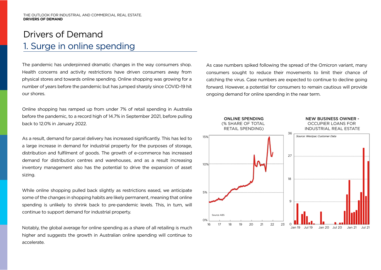# Drivers of Demand 1. Surge in online spending

The pandemic has underpinned dramatic changes in the way consumers shop. Health concerns and activity restrictions have driven consumers away from physical stores and towards online spending. Online shopping was growing for a number of years before the pandemic but has jumped sharply since COVID-19 hit our shores.

Online shopping has ramped up from under 7% of retail spending in Australia before the pandemic, to a record high of 14.7% in September 2021, before pulling back to 12.0% in January 2022.

As a result, demand for parcel delivery has increased significantly. This has led to a large increase in demand for industrial property for the purposes of storage, distribution and fulfilment of goods. The growth of e-commerce has increased demand for distribution centres and warehouses, and as a result increasing inventory management also has the potential to drive the expansion of asset sizing.

While online shopping pulled back slightly as restrictions eased, we anticipate some of the changes in shopping habits are likely permanent, meaning that online spending is unlikely to shrink back to pre-pandemic levels. This, in turn, will continue to support demand for industrial property.

Notably, the global average for online spending as a share of all retailing is much higher and suggests the growth in Australian online spending will continue to accelerate.

As case numbers spiked following the spread of the Omicron variant, many consumers sought to reduce their movements to limit their chance of catching the virus. Case numbers are expected to continue to decline going forward. However, a potential for consumers to remain cautious will provide ongoing demand for online spending in the near term.

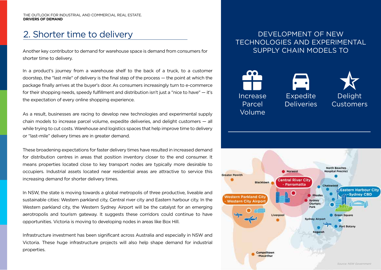# 2. Shorter time to delivery

Another key contributor to demand for warehouse space is demand from consumers for shorter time to delivery.

In a product's journey from a warehouse shelf to the back of a truck, to a customer doorstep, the "last mile" of delivery is the final step of the process — the point at which the package finally arrives at the buyer's door. As consumers increasingly turn to e-commerce for their shopping needs, speedy fulfillment and distribution isn't just a "nice to have" — it's the expectation of every online shopping experience.

As a result, businesses are racing to develop new technologies and experimental supply chain models to increase parcel volume, expedite deliveries, and delight customers — all while trying to cut costs. Warehouse and logistics spaces that help improve time to delivery or "last-mile" delivery times are in greater demand.

These broadening expectations for faster delivery times have resulted in increased demand for distribution centres in areas that position inventory closer to the end consumer. It means properties located close to key transport nodes are typically more desirable to occupiers. Industrial assets located near residential areas are attractive to service this increasing demand for shorter delivery times.

In NSW, the state is moving towards a global metropolis of three productive, liveable and sustainable cities: Western parkland city, Central river city and Eastern harbour city. In the Western parkland city, the Western Sydney Airport will be the catalyst for an emerging aerotropolis and tourism gateway. It suggests these corridors could continue to have opportunities. Victoria is moving to developing nodes in areas like Box Hill.

Infrastructure investment has been significant across Australia and especially in NSW and Victoria. These huge infrastructure projects will also help shape demand for industrial properties.

#### DEVELOPMENT OF NEW TECHNOLOGIES AND EXPERIMENTAL SUPPLY CHAIN MODELS TO







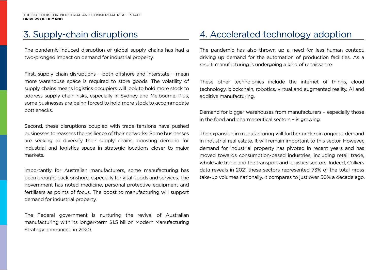## 3. Supply-chain disruptions

The pandemic-induced disruption of global supply chains has had a two-pronged impact on demand for industrial property.

First, supply chain disruptions – both offshore and interstate – mean more warehouse space is required to store goods. The volatility of supply chains means logistics occupiers will look to hold more stock to address supply chain risks, especially in Sydney and Melbourne. Plus, some businesses are being forced to hold more stock to accommodate bottlenecks.

Second, these disruptions coupled with trade tensions have pushed businesses to reassess the resilience of their networks. Some businesses are seeking to diversify their supply chains, boosting demand for industrial and logistics space in strategic locations closer to major markets.

Importantly for Australian manufacturers, some manufacturing has been brought back onshore, especially for vital goods and services. The government has noted medicine, personal protective equipment and fertilisers as points of focus. The boost to manufacturing will support demand for industrial property.

The Federal government is nurturing the revival of Australian manufacturing with its longer-term \$1.5 billion Modern Manufacturing Strategy announced in 2020.

#### 4. Accelerated technology adoption

The pandemic has also thrown up a need for less human contact, driving up demand for the automation of production facilities. As a result, manufacturing is undergoing a kind of renaissance.

These other technologies include the internet of things, cloud technology, blockchain, robotics, virtual and augmented reality, AI and additive manufacturing.

Demand for bigger warehouses from manufacturers – especially those in the food and pharmaceutical sectors – is growing.

The expansion in manufacturing will further underpin ongoing demand in industrial real estate. It will remain important to this sector. However, demand for industrial property has pivoted in recent years and has moved towards consumption-based industries, including retail trade, wholesale trade and the transport and logistics sectors. Indeed, Colliers data reveals in 2021 these sectors represented 73% of the total gross take-up volumes nationally. It compares to just over 50% a decade ago.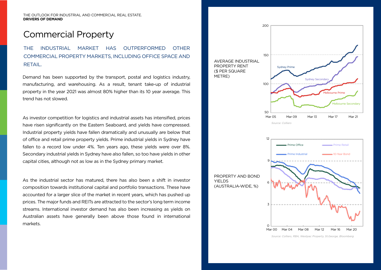#### Commercial Property

THE INDUSTRIAL MARKET HAS OUTPERFORMED OTHER COMMERCIAL PROPERTY MARKETS, INCLUDING OFFICE SPACE AND RETAIL.

Demand has been supported by the transport, postal and logistics industry, manufacturing, and warehousing. As a result, tenant take-up of industrial property in the year 2021 was almost 80% higher than its 10 year average. This trend has not slowed.

As investor competition for logistics and industrial assets has intensified, prices have risen significantly on the Eastern Seaboard, and yields have compressed. Industrial property yields have fallen dramatically and unusually are below that of office and retail prime property yields. Prime industrial yields in Sydney have fallen to a record low under 4%. Ten years ago, these yields were over 8%. Secondary industrial yields in Sydney have also fallen, so too have yields in other capital cities, although not as low as in the Sydney primary market.

As the industrial sector has matured, there has also been a shift in investor composition towards institutional capital and portfolio transactions. These have accounted for a larger slice of the market in recent years, which has pushed up prices. The major funds and REITs are attracted to the sector's long term income streams. International investor demand has also been increasing as yields on Australian assets have generally been above those found in international markets.

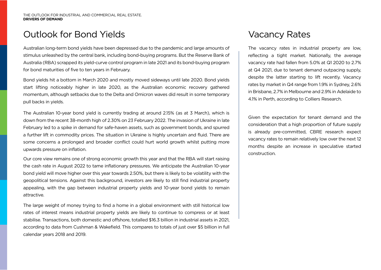#### Outlook for Bond Yields **Vacancy Rates** Vacancy Rates

Australian long-term bond yields have been depressed due to the pandemic and large amounts of stimulus unleashed by the central bank, including bond-buying programs. But the Reserve Bank of Australia (RBA) scrapped its yield-curve control program in late 2021 and its bond-buying program for bond maturities of five to ten years in February.

Bond yields hit a bottom in March 2020 and mostly moved sideways until late 2020. Bond yields start lifting noticeably higher in late 2020, as the Australian economic recovery gathered momentum, although setbacks due to the Delta and Omicron waves did result in some temporary pull backs in yields.

The Australian 10-year bond yield is currently trading at around 2.15% (as at 3 March), which is down from the recent 38-month high of 2.30% on 23 February 2022. The invasion of Ukraine in late February led to a spike in demand for safe-haven assets, such as government bonds, and spurred a further lift in commodity prices. The situation in Ukraine is highly uncertain and fluid. There are some concerns a prolonged and broader conflict could hurt world growth whilst putting more upwards pressure on inflation.

Our core view remains one of strong economic growth this year and that the RBA will start raising the cash rate in August 2022 to tame inflationary pressures. We anticipate the Australian 10-year bond yield will move higher over this year towards 2.50%, but there is likely to be volatility with the geopolitical tensions. Against this background, investors are likely to still find industrial property appealing, with the gap between industrial property yields and 10-year bond yields to remain attractive.

The large weight of money trying to find a home in a global environment with still historical low rates of interest means industrial property yields are likely to continue to compress or at least stabilise. Transactions, both domestic and offshore, totalled \$16.3 billion in industrial assets in 2021, according to data from Cushman & Wakefield. This compares to totals of just over \$5 billion in full calendar years 2018 and 2019.

The vacancy rates in industrial property are low, reflecting a tight market. Nationally, the average vacancy rate had fallen from 5.0% at Q1 2020 to 2.7% at Q4 2021, due to tenant demand outpacing supply, despite the latter starting to lift recently. Vacancy rates by market in Q4 range from 1.9% in Sydney, 2.6% in Brisbane, 2.7% in Melbourne and 2.9% in Adelaide to 4.1% in Perth, according to Colliers Research.

Given the expectation for tenant demand and the consideration that a high proportion of future supply is already pre-committed, CBRE research expect vacancy rates to remain relatively low over the next 12 months despite an increase in speculative started construction.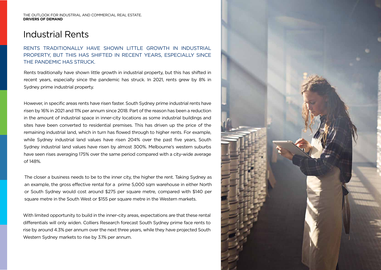#### Industrial Rents

#### RENTS TRADITIONALLY HAVE SHOWN LITTLE GROWTH IN INDUSTRIAL PROPERTY, BUT THIS HAS SHIFTED IN RECENT YEARS, ESPECIALLY SINCE THE PANDEMIC HAS STRUCK.

Rents traditionally have shown little growth in industrial property, but this has shifted in recent years, especially since the pandemic has struck. In 2021, rents grew by 8% in Sydney prime industrial property.

However, in specific areas rents have risen faster. South Sydney prime industrial rents have risen by 16% in 2021 and 11% per annum since 2018. Part of the reason has been a reduction in the amount of industrial space in inner-city locations as some industrial buildings and sites have been converted to residential premises. This has driven up the price of the remaining industrial land, which in turn has flowed through to higher rents. For example, while Sydney industrial land values have risen 204% over the past five years, South Sydney industrial land values have risen by almost 300%. Melbourne's western suburbs have seen rises averaging 175% over the same period compared with a city-wide average of 148%.

The closer a business needs to be to the inner city, the higher the rent. Taking Sydney as an example, the gross effective rental for a prime 5,000 sqm warehouse in either North or South Sydney would cost around \$275 per square metre, compared with \$140 per square metre in the South West or \$155 per square metre in the Western markets.

With limited opportunity to build in the inner-city areas, expectations are that these rental differentials will only widen. Colliers Research forecast South Sydney prime face rents to rise by around 4.3% per annum over the next three years, while they have projected South Western Sydney markets to rise by 3.1% per annum.

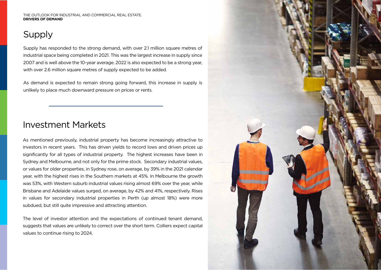## Supply

Supply has responded to the strong demand, with over 2.1 million square metres of industrial space being completed in 2021. This was the largest increase in supply since 2007 and is well above the 10-year average. 2022 is also expected to be a strong year, with over 2.6 million square metres of supply expected to be added.

As demand is expected to remain strong going forward, this increase in supply is unlikely to place much downward pressure on prices or rents.

#### Investment Markets

As mentioned previously, industrial property has become increasingly attractive to investors in recent years. This has driven yields to record lows and driven prices up significantly for all types of industrial property. The highest increases have been in Sydney and Melbourne, and not only for the prime stock. Secondary industrial values, or values for older properties, in Sydney rose, on average, by 39% in the 2021 calendar year, with the highest rises in the Southern markets at 45%. In Melbourne the growth was 53%, with Western suburb industrial values rising almost 69% over the year, while Brisbane and Adelaide values surged, on average, by 42% and 41%, respectively. Rises in values for secondary industrial properties in Perth (up almost 18%) were more subdued, but still quite impressive and attracting attention.

The level of investor attention and the expectations of continued tenant demand, suggests that values are unlikely to correct over the short term. Colliers expect capital values to continue rising to 2024.

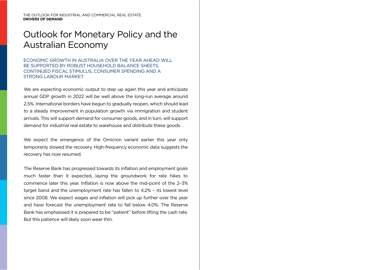#### Outlook for Monetary Policy and the Australian Economy

ECONOMIC GROWTH IN AUSTRALIA OVER THE YEAR AHEAD WILL BE SUPPORTED BY ROBUST HOUSEHOLD BALANCE SHEETS. CONTINUED FISCAL STIMULUS, CONSUMER SPENDING AND A STRONG LABOUR MARKET.

We are expecting economic output to step up again this year and anticipate annual GDP growth in 2022 will be well above the long-run average around 2.5%. International borders have begun to gradually reopen, which should lead to a steady improvement in population growth via immigration and student arrivals. This will support demand for consumer goods, and in turn, will support demand for industrial real estate to warehouse and distribute these goods.

We expect the emergence of the Omicron variant earlier this year only temporarily slowed the recovery. High-frequency economic data suggests the recovery has now resumed.

The Reserve Bank has progressed towards its inflation and employment goals much faster than it expected, laying the groundwork for rate hikes to commence later this year. Inflation is now above the mid-point of the 2–3% target band and the unemployment rate has fallen to 4.2% – its lowest level since 2008. We expect wages and inflation will pick up further over the year and have forecast the unemployment rate to fall below 4.0%. The Reserve Bank has emphasised it is prepared to be "patient" before lifting the cash rate. But this patience will likely soon wear thin.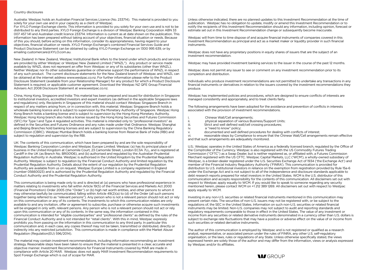#### Country disclosures

Australia: Westpac holds an Australian Financial Services Licence (No. 233714). This material is provided to you solely for your own use and in your capacity as a client of Westpac.

For XYLO Foreign Exchange clients: This information is provided to you solely for your own use and is not to be distributed to any third parties. XYLO Foreign Exchange is a division of Westpac Banking Corporation ABN 33 007 457 141 and Australian credit licence 233714. Information is current as at date shown on the publication. This information has been prepared without taking account of your objectives, financial situation or needs. Because of this you should, before acting on this information, consider its appropriateness, having regard to your objectives, financial situation or needs. XYLO Foreign Exchange's combined Financial Services Guide and Product Disclosure Statement can be obtained by calling XYLO Foreign Exchange on 1300 995 639, or by emailing customercare@XYLO.com.au.

New Zealand: In New Zealand, Westpac Institutional Bank refers to the brand under which products and services are provided by either Westpac or Westpac New Zealand Limited ("WNZL"). Any product or service made available by WNZL does not represent an offer from Westpac or any of its subsidiaries (other than WNZL). Neither Westpac nor its other subsidiaries guarantee or otherwise support the performance of WNZL in respect of any such product. The current disclosure statements for the New Zealand branch of Westpac and WNZL can be obtained at the internet address www.westpac.co.nz. For further information please refer to the Product Disclosure Statement (available from your Relationship Manager) for any product for which a Product Disclosure Statement is required, or applicable customer agreement. Download the Westpac NZ QFE Group Financial Advisers Act 2008 Disclosure Statement at www.westpac.co.nz.

China, Hong Kong, Singapore and India: This material has been prepared and issued for distribution in Singapore to institutional investors, accredited investors and expert investors (as defined in the applicable Singapore laws and regulations) only. Recipients in Singapore of this material should contact Westpac Singapore Branch in respect of any matters arising from, or in connection with, this material. Westpac Singapore Branch holds a wholesale banking licence and is subject to supervision by the Monetary Authority of Singapore. Westpac Hong Kong Branch holds a banking license and is subject to supervision by the Hong Kong Monetary Authority. Westpac Hong Kong branch also holds a license issued by the Hong Kong Securities and Futures Commission (SFC) for Type 1 and Type 4 regulated activities. This material is intended only to "professional investors" as defined in the Securities and Futures Ordinance and any rules made under that Ordinance. Westpac Shanghai and Beijing Branches hold banking licenses and are subject to supervision by the China Banking Regulatory Commission (CBRC). Westpac Mumbai Branch holds a banking license from Reserve Bank of India (RBI) and subject to regulation and supervision by the RBI.

UK: The contents of this communication, which have been prepared by and are the sole responsibility of Westpac Banking Corporation London and Westpac Europe Limited. Westpac (a) has its principal place of business in the United Kingdom at Camomile Court, 23 Camomile Street, London EC3A 7LL, and is registered at Cardiff in the UK (as Branch No. BR00106), and (b) authorised and regulated by the Australian Prudential Regulation Authority in Australia. Westpac is authorised in the United Kingdom by the Prudential Regulation Authority. Westpac is subject to regulation by the Financial Conduct Authority and limited regulation by the Prudential Regulation Authority. Details about the extent of our regulation by the Prudential Regulation Authority are available from us on request. Westpac Europe Limited is a company registered in England (number 05660023) and is authorised by the Prudential Regulation Authority and regulated by the Financial Conduct Authority and the Prudential Regulation Authority.

This communication is being made only to and is directed at (a) persons who have professional experience in matters relating to investments who fall within Article 19(5) of the Financial Services and Markets Act 2000 (Financial Promotion) Order 2005 (the "Order") or (b) high net worth entities, and other persons to whom it may otherwise lawfully be communicated, falling within Article 49(2)(a) to (d) of the Order (all such persons together being referred to as "relevant persons"). Any person who is not a relevant person should not act or rely on this communication or any of its contents. The investments to which this communication relates are only available to and any invitation, offer or agreement to subscribe, purchase or otherwise acquire such investments will be engaged in only with, relevant persons. Any person who is not a relevant person should not act or rely upon this communication or any of its contents. In the same way, the information contained in this communication is intended for "eligible counterparties" and "professional clients" as defined by the rules of the Financial Conduct Authority and is not intended for "retail clients". With this in mind, Westpac expressly prohibits you from passing on the information in this communication to any third party. In particular this communication and, in each case, any copies thereof may not be taken, transmitted or distributed, directly or indirectly into any restricted jurisdiction. This communication is made in compliance with the Market Abuse Regulation (Regulation(EU) 596/2014).

The material may contain investment recommendations, including information recommending an investment strategy. Reasonable steps have been taken to ensure that the material is presented in a clear, accurate and objective manner. Investment Recommendations for Financial Instruments covered by MAR are made in compliance with Article 20 MAR. Westpac does not apply MAR Investment Recommendation requirements to Spot Foreign Exchange which is out of scope for MAR.

Unless otherwise indicated, there are no planned updates to this Investment Recommendation at the time of publication. Westpac has no obligation to update, modify or amend this Investment Recommendation or to notify the recipients of this Investment Recommendation should any information, including opinion, forecast or estimate set out in this Investment Recommendation change or subsequently become inaccurate.

Westpac will from time to time dispose of and acquire financial instruments of companies covered in this Investment Recommendation as principal and act as a market maker or liquidity provider in such financial instruments.

Westpac does not have any proprietary positions in equity shares of issuers that are the subject of an investment recommendation.

Westpac may have provided investment banking services to the issuer in the course of the past 12 months.

Westpac does not permit any issuer to see or comment on any investment recommendation prior to its completion and distribution.

Individuals who produce investment recommendations are not permitted to undertake any transactions in any financial instruments or derivatives in relation to the issuers covered by the investment recommendations they produce.

Westpac has implemented policies and procedures, which are designed to ensure conflicts of interests are managed consistently and appropriately, and to treat clients fairly.

The following arrangements have been adopted for the avoidance and prevention of conflicts in interests associated with the provision of investment recommendations.

- i. Chinese Wall/Cell arrangements;
- ii. physical separation of various Business/Support Units;<br>iii. Strict and well defined wall/cell crossing procedures:
- iii. Strict and well defined wall/cell crossing procedures;<br>iv. a "need to know" policy:
- a "need to know" policy;
- v. documented and well defined procedures for dealing with conflicts of interest;

vi. reasonable steps by Compliance to ensure that the Chinese Wall/Cell arrangements remain effective and that such arrangements are adequately monitored.

U.S.: Westpac operates in the United States of America as a federally licensed branch, regulated by the Office of the Comptroller of the Currency. Westpac is also registered with the US Commodity Futures Trading Commission ("CFTC") as a Swap Dealer, but is neither registered as, or affiliated with, a Futures Commission Merchant registered with the US CFTC. Westpac Capital Markets, LLC ('WCM'), a wholly-owned subsidiary of Westpac, is a broker-dealer registered under the U.S. Securities Exchange Act of 1934 ('the Exchange Act') and member of the Financial Industry Regulatory Authority ('FINRA'). This communication is provided for distribution to U.S. institutional investors in reliance on the exemption from registration provided by Rule 15a-6 under the Exchange Act and is not subject to all of the independence and disclosure standards applicable to debt research reports prepared for retail investors in the United States. WCM is the U.S. distributor of this communication and accepts responsibility for the contents of this communication. All disclaimers set out with respect to Westpac apply equally to WCM. If you would like to speak to someone regarding any security mentioned herein, please contact WCM on +1 212 389 1269. All disclaimers set out with respect to Westpac apply equally to WCM.

Investing in any non-U.S. securities or related financial instruments mentioned in this communication may present certain risks. The securities of non-U.S. issuers may not be registered with, or be subject to the regulations of, the SEC in the United States. Information on such non-U.S. securities or related financial instruments may be limited. Non-U.S. companies may not subject to audit and reporting standards and regulatory requirements comparable to those in effect in the United States. The value of any investment or income from any securities or related derivative instruments denominated in a currency other than U.S. dollars is subject to exchange rate fluctuations that may have a positive or adverse effect on the value of or income from such securities or related derivative instruments.

The author of this communication is employed by Westpac and is not registered or qualified as a research analyst, representative, or associated person under the rules of FINRA, any other U.S. self-regulatory organisation, or the laws, rules or regulations of any State. Unless otherwise specifically stated, the views expressed herein are solely those of the author and may differ from the information, views or analysis expressed by Westpac and/or its affiliates.